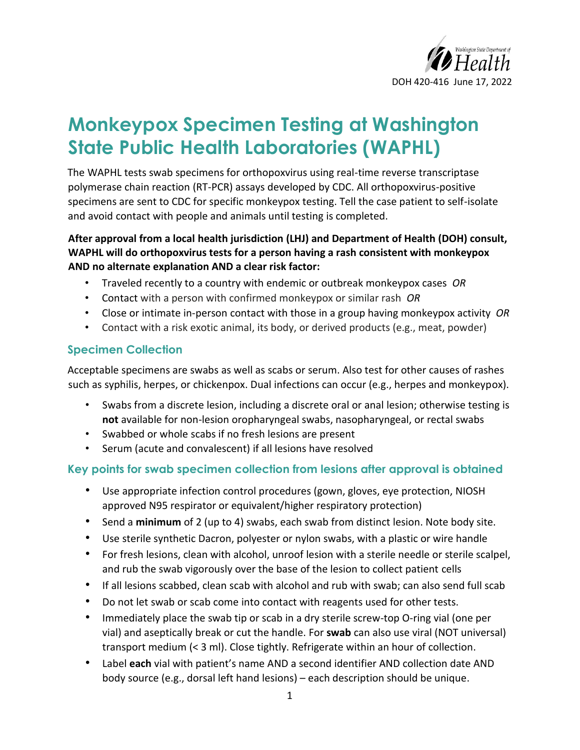

# **Monkeypox Specimen Testing at Washington State Public Health Laboratories (WAPHL)**

The WAPHL tests swab specimens for orthopoxvirus using real-time reverse transcriptase polymerase chain reaction (RT-PCR) assays developed by CDC. All orthopoxvirus-positive specimens are sent to CDC for specific monkeypox testing. Tell the case patient to self-isolate and avoid contact with people and animals until testing is completed.

## **After approval from a local health jurisdiction (LHJ) and Department of Health (DOH) consult, WAPHL will do orthopoxvirus tests for a person having a rash consistent with monkeypox AND no alternate explanation AND a clear risk factor:**

- Traveled recently to a country with endemic or outbreak monkeypox cases *OR*
- Contact with a person with confirmed monkeypox or similar rash *OR*
- Close or intimate in-person contact with those in a group having monkeypox activity *OR*
- Contact with a risk exotic animal, its body, or derived products (e.g., meat, powder)

## **Specimen Collection**

Acceptable specimens are swabs as well as scabs or serum. Also test for other causes of rashes such as syphilis, herpes, or chickenpox. Dual infections can occur (e.g., herpes and monkeypox).

- Swabs from a discrete lesion, including a discrete oral or anal lesion; otherwise testing is **not** available for non-lesion oropharyngeal swabs, nasopharyngeal, or rectal swabs
- Swabbed or whole scabs if no fresh lesions are present
- Serum (acute and convalescent) if all lesions have resolved

## **Key points for swab specimen collection from lesions after approval is obtained**

- Use appropriate infection control procedures (gown, gloves, eye protection, NIOSH approved N95 respirator or equivalent/higher respiratory protection)
- Send a **minimum** of 2 (up to 4) swabs, each swab from distinct lesion. Note body site.
- Use sterile synthetic Dacron, polyester or nylon swabs, with a plastic or wire handle
- For fresh lesions, clean with alcohol, unroof lesion with a sterile needle or sterile scalpel, and rub the swab vigorously over the base of the lesion to collect patient cells
- If all lesions scabbed, clean scab with alcohol and rub with swab; can also send full scab
- Do not let swab or scab come into contact with reagents used for other tests.
- Immediately place the swab tip or scab in a dry sterile screw-top O-ring vial (one per vial) and aseptically break or cut the handle. For **swab** can also use viral (NOT universal) transport medium (< 3 ml). Close tightly. Refrigerate within an hour of collection.
- Label **each** vial with patient's name AND a second identifier AND collection date AND body source (e.g., dorsal left hand lesions) – each description should be unique.